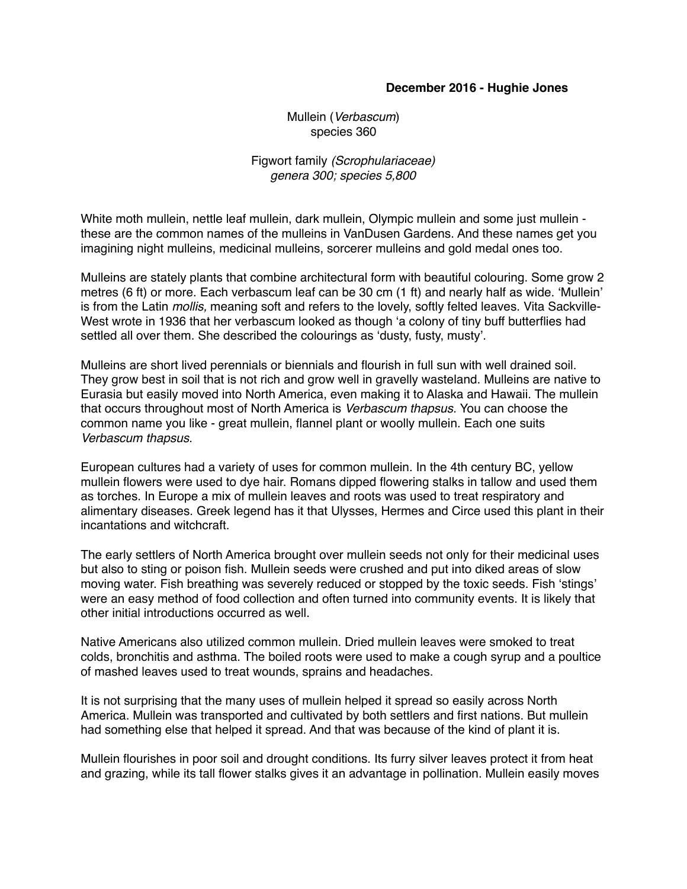## **December 2016 - Hughie Jones**

Mullein (*Verbascum*) species 360

Figwort family *(Scrophulariaceae) genera 300; species 5,800*

White moth mullein, nettle leaf mullein, dark mullein, Olympic mullein and some just mullein these are the common names of the mulleins in VanDusen Gardens. And these names get you imagining night mulleins, medicinal mulleins, sorcerer mulleins and gold medal ones too.

Mulleins are stately plants that combine architectural form with beautiful colouring. Some grow 2 metres (6 ft) or more. Each verbascum leaf can be 30 cm (1 ft) and nearly half as wide. 'Mullein' is from the Latin *mollis,* meaning soft and refers to the lovely, softly felted leaves. Vita Sackville-West wrote in 1936 that her verbascum looked as though 'a colony of tiny buff butterflies had settled all over them. She described the colourings as 'dusty, fusty, musty'.

Mulleins are short lived perennials or biennials and flourish in full sun with well drained soil. They grow best in soil that is not rich and grow well in gravelly wasteland. Mulleins are native to Eurasia but easily moved into North America, even making it to Alaska and Hawaii. The mullein that occurs throughout most of North America is *Verbascum thapsus.* You can choose the common name you like - great mullein, flannel plant or woolly mullein. Each one suits *Verbascum thapsus*.

European cultures had a variety of uses for common mullein. In the 4th century BC, yellow mullein flowers were used to dye hair. Romans dipped flowering stalks in tallow and used them as torches. In Europe a mix of mullein leaves and roots was used to treat respiratory and alimentary diseases. Greek legend has it that Ulysses, Hermes and Circe used this plant in their incantations and witchcraft.

The early settlers of North America brought over mullein seeds not only for their medicinal uses but also to sting or poison fish. Mullein seeds were crushed and put into diked areas of slow moving water. Fish breathing was severely reduced or stopped by the toxic seeds. Fish 'stings' were an easy method of food collection and often turned into community events. It is likely that other initial introductions occurred as well.

Native Americans also utilized common mullein. Dried mullein leaves were smoked to treat colds, bronchitis and asthma. The boiled roots were used to make a cough syrup and a poultice of mashed leaves used to treat wounds, sprains and headaches.

It is not surprising that the many uses of mullein helped it spread so easily across North America. Mullein was transported and cultivated by both settlers and first nations. But mullein had something else that helped it spread. And that was because of the kind of plant it is.

Mullein flourishes in poor soil and drought conditions. Its furry silver leaves protect it from heat and grazing, while its tall flower stalks gives it an advantage in pollination. Mullein easily moves